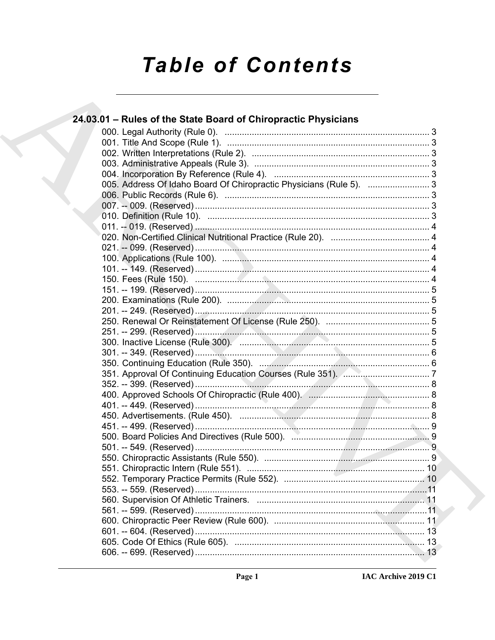# **Table of Contents**

| 24.03.01 – Rules of the State Board of Chiropractic Physicians      |  |
|---------------------------------------------------------------------|--|
|                                                                     |  |
|                                                                     |  |
|                                                                     |  |
|                                                                     |  |
|                                                                     |  |
| 005. Address Of Idaho Board Of Chiropractic Physicians (Rule 5).  3 |  |
|                                                                     |  |
|                                                                     |  |
|                                                                     |  |
|                                                                     |  |
|                                                                     |  |
|                                                                     |  |
|                                                                     |  |
|                                                                     |  |
|                                                                     |  |
|                                                                     |  |
|                                                                     |  |
|                                                                     |  |
|                                                                     |  |
|                                                                     |  |
|                                                                     |  |
|                                                                     |  |
|                                                                     |  |
|                                                                     |  |
|                                                                     |  |
|                                                                     |  |
|                                                                     |  |
|                                                                     |  |
|                                                                     |  |
|                                                                     |  |
|                                                                     |  |
|                                                                     |  |
|                                                                     |  |
|                                                                     |  |
|                                                                     |  |
|                                                                     |  |
|                                                                     |  |
|                                                                     |  |
|                                                                     |  |
|                                                                     |  |
|                                                                     |  |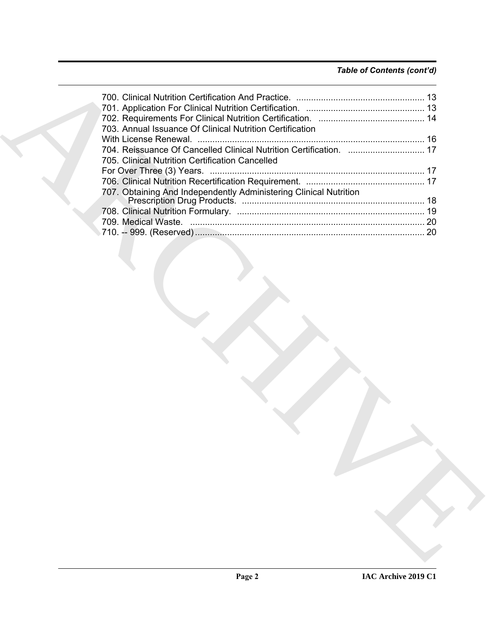#### *Table of Contents (cont'd)*

| 703. Annual Issuance Of Clinical Nutrition Certification           |
|--------------------------------------------------------------------|
|                                                                    |
| 704. Reissuance Of Cancelled Clinical Nutrition Certification.  17 |
| 705. Clinical Nutrition Certification Cancelled                    |
|                                                                    |
|                                                                    |
| 707. Obtaining And Independently Administering Clinical Nutrition  |
|                                                                    |
|                                                                    |
|                                                                    |
|                                                                    |
|                                                                    |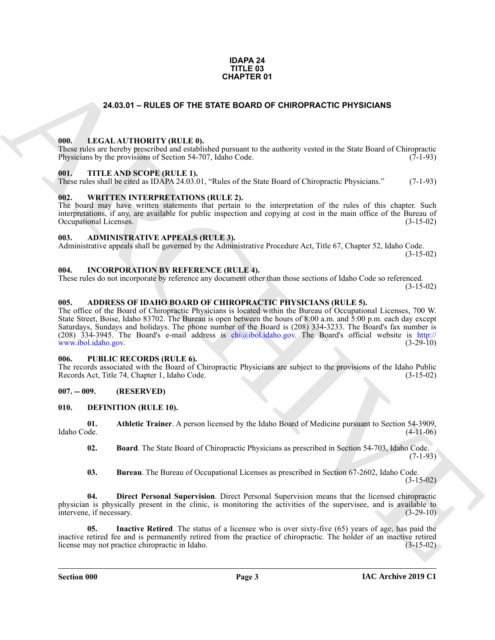#### **IDAPA 24 TITLE 03 CHAPTER 01**

#### **24.03.01 – RULES OF THE STATE BOARD OF CHIROPRACTIC PHYSICIANS**

#### <span id="page-2-19"></span><span id="page-2-1"></span><span id="page-2-0"></span>**000. LEGAL AUTHORITY (RULE 0).**

These rules are hereby prescribed and established pursuant to the authority vested in the State Board of Chiropractic Physicians by the provisions of Section 54-707, Idaho Code. (7-1-93)

#### <span id="page-2-21"></span><span id="page-2-2"></span>**001. TITLE AND SCOPE (RULE 1).**

These rules shall be cited as IDAPA 24.03.01, "Rules of the State Board of Chiropractic Physicians." (7-1-93)

#### <span id="page-2-22"></span><span id="page-2-3"></span>**002. WRITTEN INTERPRETATIONS (RULE 2).**

The board may have written statements that pertain to the interpretation of the rules of this chapter. Such interpretations, if any, are available for public inspection and copying at cost in the main office of the Bureau of Occupational Licenses. (3-15-02) Occupational Licenses.

#### <span id="page-2-11"></span><span id="page-2-4"></span>**003. ADMINISTRATIVE APPEALS (RULE 3).**

Administrative appeals shall be governed by the Administrative Procedure Act, Title 67, Chapter 52, Idaho Code. (3-15-02)

#### <span id="page-2-18"></span><span id="page-2-5"></span>**004. INCORPORATION BY REFERENCE (RULE 4).**

These rules do not incorporate by reference any document other than those sections of Idaho Code so referenced. (3-15-02)

#### <span id="page-2-10"></span><span id="page-2-6"></span>**005. ADDRESS OF IDAHO BOARD OF CHIROPRACTIC PHYSICIANS (RULE 5).**

**[CH](mailto:chi@ibol.idaho.gov)APTER OF**<br> **CHARCHIVE CONFIGUES CONFIGUES CONFIGUES CONFIGUES CONFIGUES CONFIGUES CONFIGUES CONFIGUES CONFIGUES CONFIGUES CONFIGUES CONFIGUES CONFIGUES CONFIGUES CONFIGUES CONFIGUES CONFIGUES CONFIGUES CONFIGUES CONFIG** The office of the Board of Chiropractic Physicians is located within the Bureau of Occupational Licenses, 700 W. State Street, Boise, Idaho 83702. The Bureau is open between the hours of 8:00 a.m. and 5:00 p.m. each day except Saturdays, Sundays and holidays. The phone number of the Board is (208) 334-3233. The Board's fax number is (208) 334-3945. The Board's e-mail address is  $chi(\partial_i$ ibol.idaho.gov. The Board's official website is http:// www.ibol.idaho.gov. (3-29-10)

#### <span id="page-2-20"></span><span id="page-2-7"></span>**006. PUBLIC RECORDS (RULE 6).**

The records associated with the Board of Chiropractic Physicians are subject to the provisions of the Idaho Public Records Act, Title 74, Chapter 1, Idaho Code. (3-15-02)

#### <span id="page-2-8"></span>**007. -- 009. (RESERVED)**

#### <span id="page-2-12"></span><span id="page-2-9"></span>**010. DEFINITION (RULE 10).**

**01. Athletic Trainer**. A person licensed by the Idaho Board of Medicine pursuant to Section 54-3909, Idaho Code. (4-11-06)

<span id="page-2-14"></span><span id="page-2-13"></span>**02. Board**. The State Board of Chiropractic Physicians as prescribed in Section 54-703, Idaho Code.  $(7-1-93)$ 

<span id="page-2-17"></span><span id="page-2-16"></span><span id="page-2-15"></span>**03. Bureau**. The Bureau of Occupational Licenses as prescribed in Section 67-2602, Idaho Code.  $(3-15-02)$ 

**04. Direct Personal Supervision**. Direct Personal Supervision means that the licensed chiropractic physician is physically present in the clinic, is monitoring the activities of the supervisee, and is available to intervene, if necessary. intervene, if necessary.

**Inactive Retired**. The status of a licensee who is over sixty-five (65) years of age, has paid the inactive retired fee and is permanently retired from the practice of chiropractic. The holder of an inactive retired license may not practice chiropractic in Idaho. (3-15-02)

**Section 000 Page 3**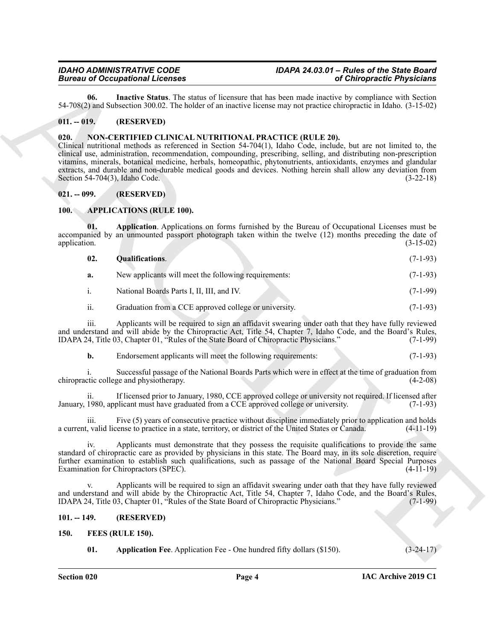<span id="page-3-9"></span>**06. Inactive Status**. The status of licensure that has been made inactive by compliance with Section 54-708(2) and Subsection 300.02. The holder of an inactive license may not practice chiropractic in Idaho. (3-15-02)

#### <span id="page-3-0"></span>**011. -- 019. (RESERVED)**

#### <span id="page-3-12"></span><span id="page-3-1"></span>**020. NON-CERTIFIED CLINICAL NUTRITIONAL PRACTICE (RULE 20).**

ARCHIVE Clinical nutritional methods as referenced in Section 54-704(1), Idaho Code, include, but are not limited to, the clinical use, administration, recommendation, compounding, prescribing, selling, and distributing non-prescription vitamins, minerals, botanical medicine, herbals, homeopathic, phytonutrients, antioxidants, enzymes and glandular extracts, and durable and non-durable medical goods and devices. Nothing herein shall allow any deviation from Section 54-704(3), Idaho Code. (3-22-18)

#### <span id="page-3-2"></span>**021. -- 099. (RESERVED)**

#### <span id="page-3-6"></span><span id="page-3-3"></span>**100. APPLICATIONS (RULE 100).**

**01. Application**. Applications on forms furnished by the Bureau of Occupational Licenses must be accompanied by an unmounted passport photograph taken within the twelve (12) months preceding the date of application. (3-15-02)

<span id="page-3-8"></span><span id="page-3-7"></span>

| 02. | <b>Qualifications.</b> |  | $(7-1-93)$ |
|-----|------------------------|--|------------|
|     |                        |  |            |

|  | New applicants will meet the following requirements: |  | $(7-1-93)$ |
|--|------------------------------------------------------|--|------------|
|  |                                                      |  |            |

i. National Boards Parts I, II, III, and IV. (7-1-99)

#### ii. Graduation from a CCE approved college or university. (7-1-93)

iii. Applicants will be required to sign an affidavit swearing under oath that they have fully reviewed and understand and will abide by the Chiropractic Act, Title 54, Chapter 7, Idaho Code, and the Board's Rules,<br>IDAPA 24, Title 03, Chapter 01, "Rules of the State Board of Chiropractic Physicians." (7-1-99) IDAPA 24, Title 03, Chapter 01, "Rules of the State Board of Chiropractic Physicians."

**b.** Endorsement applicants will meet the following requirements: (7-1-93)

i. Successful passage of the National Boards Parts which were in effect at the time of graduation from chiropractic college and physiotherapy. (4-2-08)

ii. If licensed prior to January, 1980, CCE approved college or university not required. If licensed after January, 1980, applicant must have graduated from a CCE approved college or university. (7-1-93)

iii. Five (5) years of consecutive practice without discipline immediately prior to application and holds a current, valid license to practice in a state, territory, or district of the United States or Canada. (4-11-19)

iv. Applicants must demonstrate that they possess the requisite qualifications to provide the same standard of chiropractic care as provided by physicians in this state. The Board may, in its sole discretion, require further examination to establish such qualifications, such as passage of the National Board Special Purposes Examination for Chiropractors (SPEC). (4-11-19)

Applicants will be required to sign an affidavit swearing under oath that they have fully reviewed and understand and will abide by the Chiropractic Act, Title 54, Chapter 7, Idaho Code, and the Board's Rules, IDAPA 24, Title 03, Chapter 01, "Rules of the State Board of Chiropractic Physicians." (7-1-99)

#### <span id="page-3-4"></span>**101. -- 149. (RESERVED)**

- <span id="page-3-11"></span><span id="page-3-10"></span><span id="page-3-5"></span>**150. FEES (RULE 150).**
	- **01.** Application Fee. Application Fee One hundred fifty dollars (\$150). (3-24-17)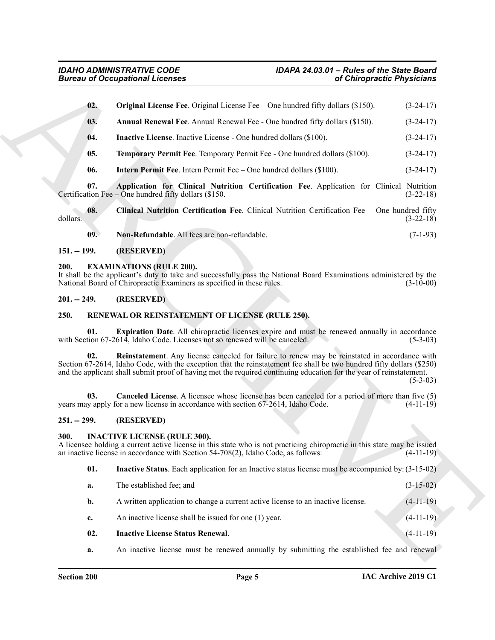<span id="page-4-13"></span><span id="page-4-10"></span><span id="page-4-7"></span>

|                 | <b>Bureau of Occupational Licenses</b><br>of Chiropractic Physicians                                                                                                                                                                                                                                                                          |             |
|-----------------|-----------------------------------------------------------------------------------------------------------------------------------------------------------------------------------------------------------------------------------------------------------------------------------------------------------------------------------------------|-------------|
| 02.             | <b>Original License Fee.</b> Original License Fee $-$ One hundred fifty dollars (\$150).                                                                                                                                                                                                                                                      | $(3-24-17)$ |
| 03.             | Annual Renewal Fee. Annual Renewal Fee - One hundred fifty dollars (\$150).                                                                                                                                                                                                                                                                   | $(3-24-17)$ |
| 04.             | <b>Inactive License.</b> Inactive License - One hundred dollars (\$100).                                                                                                                                                                                                                                                                      | $(3-24-17)$ |
| 05.             | Temporary Permit Fee. Temporary Permit Fee - One hundred dollars (\$100).                                                                                                                                                                                                                                                                     | $(3-24-17)$ |
| 06.             | <b>Intern Permit Fee.</b> Intern Permit Fee – One hundred dollars (\$100).                                                                                                                                                                                                                                                                    | $(3-24-17)$ |
| 07.             | Application for Clinical Nutrition Certification Fee. Application for Clinical Nutrition<br>Certification Fee $-$ One hundred fifty dollars (\$150.                                                                                                                                                                                           | $(3-22-18)$ |
| 08.<br>dollars. | Clinical Nutrition Certification Fee. Clinical Nutrition Certification Fee - One hundred fifty                                                                                                                                                                                                                                                | $(3-22-18)$ |
| 09.             | Non-Refundable. All fees are non-refundable.                                                                                                                                                                                                                                                                                                  | $(7-1-93)$  |
| $151. - 199.$   | (RESERVED)                                                                                                                                                                                                                                                                                                                                    |             |
| 200.            | <b>EXAMINATIONS (RULE 200).</b><br>It shall be the applicant's duty to take and successfully pass the National Board Examinations administered by the<br>National Board of Chiropractic Examiners as specified in these rules.                                                                                                                | $(3-10-00)$ |
| $201. - 249.$   | (RESERVED)                                                                                                                                                                                                                                                                                                                                    |             |
| 250.            | RENEWAL OR REINSTATEMENT OF LICENSE (RULE 250).                                                                                                                                                                                                                                                                                               |             |
| 01.             | Expiration Date. All chiropractic licenses expire and must be renewed annually in accordance<br>with Section 67-2614, Idaho Code. Licenses not so renewed will be canceled.                                                                                                                                                                   | $(5-3-03)$  |
| 02.             | Reinstatement. Any license canceled for failure to renew may be reinstated in accordance with<br>Section 67-2614, Idaho Code, with the exception that the reinstatement fee shall be two hundred fifty dollars (\$250)<br>and the applicant shall submit proof of having met the required continuing education for the year of reinstatement. | $(5-3-03)$  |
| 03.             | <b>Canceled License.</b> A licensee whose license has been canceled for a period of more than five (5)<br>years may apply for a new license in accordance with section 67-2614, Idaho Code.                                                                                                                                                   | $(4-11-19)$ |
| $251. - 299.$   | (RESERVED)                                                                                                                                                                                                                                                                                                                                    |             |
| 300.            | <b>INACTIVE LICENSE (RULE 300).</b><br>A licensee holding a current active license in this state who is not practicing chiropractic in this state may be issued<br>an inactive license in accordance with Section 54-708(2), Idaho Code, as follows:                                                                                          | $(4-11-19)$ |
| 01.             | Inactive Status. Each application for an Inactive status license must be accompanied by: (3-15-02)                                                                                                                                                                                                                                            |             |
| a.              | The established fee; and                                                                                                                                                                                                                                                                                                                      | $(3-15-02)$ |
| b.              | A written application to change a current active license to an inactive license.                                                                                                                                                                                                                                                              | $(4-11-19)$ |
| c.              | An inactive license shall be issued for one (1) year.                                                                                                                                                                                                                                                                                         | $(4-11-19)$ |
| 02.             | <b>Inactive License Status Renewal.</b>                                                                                                                                                                                                                                                                                                       | $(4-11-19)$ |
|                 |                                                                                                                                                                                                                                                                                                                                               |             |

#### <span id="page-4-14"></span><span id="page-4-12"></span><span id="page-4-11"></span><span id="page-4-9"></span><span id="page-4-8"></span><span id="page-4-0"></span>**151. -- 199. (RESERVED)**

#### <span id="page-4-6"></span><span id="page-4-1"></span>**200. EXAMINATIONS (RULE 200).**

#### <span id="page-4-2"></span>**201. -- 249. (RESERVED)**

#### <span id="page-4-21"></span><span id="page-4-20"></span><span id="page-4-18"></span><span id="page-4-3"></span>**250. RENEWAL OR REINSTATEMENT OF LICENSE (RULE 250).**

#### <span id="page-4-19"></span><span id="page-4-4"></span>**251. -- 299. (RESERVED)**

#### <span id="page-4-15"></span><span id="page-4-5"></span>**300. INACTIVE LICENSE (RULE 300).**

<span id="page-4-17"></span><span id="page-4-16"></span>

| 02.            | <b>Inactive License Status Renewal.</b>                                          | $(4-11-19)$ |  |
|----------------|----------------------------------------------------------------------------------|-------------|--|
| $\mathbf{c}$ . | An inactive license shall be issued for one (1) year.                            | $(4-11-19)$ |  |
| <b>b.</b>      | A written application to change a current active license to an inactive license. | $(4-11-19)$ |  |
| <b>a.</b>      | The established fee; and                                                         | $(3-15-02)$ |  |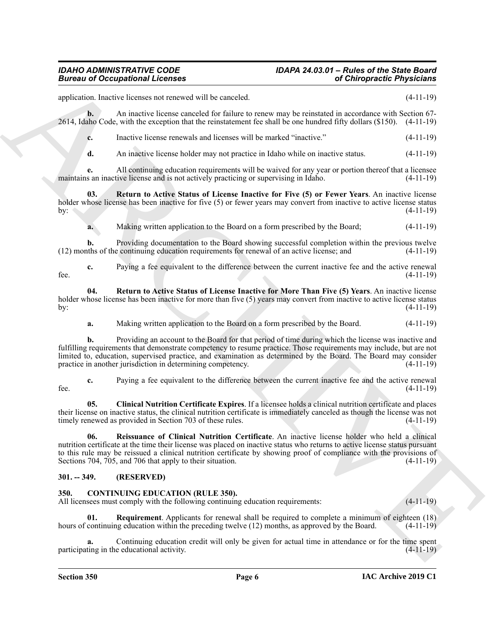### <span id="page-5-6"></span>*IDAHO ADMINISTRATIVE CODE IDAPA 24.03.01 – Rules of the State Board*

Given to Conceptions I. Leonard Universe Conception and Leonard Conception and Chiefprecise Physicisms<br>
and the second state the second of the second of the second of the second of the second of the second of the second o application. Inactive licenses not renewed will be canceled. (4-11-19) **b.** An inactive license canceled for failure to renew may be reinstated in accordance with Section 67-2614, Idaho Code, with the exception that the reinstatement fee shall be one hundred fifty dollars (\$150). (4-11-19) **c.** Inactive license renewals and licenses will be marked "inactive." (4-11-19) **d.** An inactive license holder may not practice in Idaho while on inactive status.  $(4-11-19)$ **e.** All continuing education requirements will be waived for any year or portion thereof that a licensee maintains an inactive license and is not actively practicing or supervising in Idaho. (4-11-19) **03. Return to Active Status of License Inactive for Five (5) or Fewer Years**. An inactive license holder whose license has been inactive for five (5) or fewer years may convert from inactive to active license status by: (4-11-19) **a.** Making written application to the Board on a form prescribed by the Board; (4-11-19) **b.** Providing documentation to the Board showing successful completion within the previous twelve (12) months of the continuing education requirements for renewal of an active license; and (4-11-19) **c.** Paying a fee equivalent to the difference between the current inactive fee and the active renewal fee.  $(4-11-19)$ **04. Return to Active Status of License Inactive for More Than Five (5) Years**. An inactive license holder whose license has been inactive for more than five (5) years may convert from inactive to active license status by:  $(4-11-19)$ **a.** Making written application to the Board on a form prescribed by the Board. (4-11-19) **b.** Providing an account to the Board for that period of time during which the license was inactive and fulfilling requirements that demonstrate competency to resume practice. Those requirements may include, but are not limited to, education, supervised practice, and examination as determined by the Board. The Board may consider practice in another jurisdiction in determining competency. (4-11-19) **c.** Paying a fee equivalent to the difference between the current inactive fee and the active renewal fee.  $(4-11-19)$ **05. Clinical Nutrition Certificate Expires**. If a licensee holds a clinical nutrition certificate and places their license on inactive status, the clinical nutrition certificate is immediately canceled as though the license was not timely renewed as provided in Section 703 of these rules. (4-11-19) **06. Reissuance of Clinical Nutrition Certificate**. An inactive license holder who held a clinical nutrition certificate at the time their license was placed on inactive status who returns to active license status pursuant to this rule may be reissued a clinical nutrition certificate by showing proof of compliance with the provisions of Sections 704, 705, and 706 that apply to their situation. (4-11-19)

#### <span id="page-5-0"></span>**301. -- 349. (RESERVED)**

#### <span id="page-5-2"></span><span id="page-5-1"></span>**350. CONTINUING EDUCATION (RULE 350).**

<span id="page-5-7"></span><span id="page-5-5"></span><span id="page-5-4"></span>Sections 704, 705, and 706 that apply to their situation.

All licensees must comply with the following continuing education requirements: (4-11-19)

<span id="page-5-3"></span>**01. Requirement**. Applicants for renewal shall be required to complete a minimum of eighteen (18) hours of continuing education within the preceding twelve (12) months, as approved by the Board. (4-11-19)

**a.** Continuing education credit will only be given for actual time in attendance or for the time spent participating in the educational activity. (4-11-19)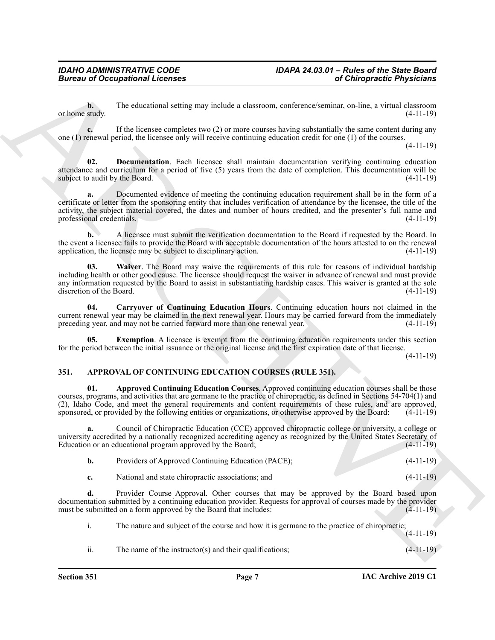**b.** The educational setting may include a classroom, conference/seminar, on-line, a virtual classroom or home study.  $(4-11-19)$ 

**c.** If the licensee completes two (2) or more courses having substantially the same content during any one (1) renewal period, the licensee only will receive continuing education credit for one (1) of the courses.

(4-11-19)

<span id="page-6-4"></span>**02. Documentation**. Each licensee shall maintain documentation verifying continuing education attendance and curriculum for a period of five (5) years from the date of completion. This documentation will be subject to audit by the Board. (4-11-19)

Given to Occupational Licenses<br>
The columbination state may be the state may be considered by a change of  $\theta$  and  $\theta$  and  $\theta$  and  $\theta$  and  $\theta$  and  $\theta$  and  $\theta$  and  $\theta$  and  $\theta$  and  $\theta$  and  $\theta$  and  $\theta$  and  $\theta$  an **a.** Documented evidence of meeting the continuing education requirement shall be in the form of a certificate or letter from the sponsoring entity that includes verification of attendance by the licensee, the title of the activity, the subject material covered, the dates and number of hours credited, and the presenter's full name and professional credentials. (4-11-19)

**b.** A licensee must submit the verification documentation to the Board if requested by the Board. In the event a licensee fails to provide the Board with acceptable documentation of the hours attested to on the renewal application, the licensee may be subject to disciplinary action.  $(4-11-19)$ 

<span id="page-6-6"></span>**03. Waiver**. The Board may waive the requirements of this rule for reasons of individual hardship including health or other good cause. The licensee should request the waiver in advance of renewal and must provide any information requested by the Board to assist in substantiating hardship cases. This waiver is granted at the sole discretion of the Board. (4-11-19) discretion of the Board.

<span id="page-6-3"></span>**04. Carryover of Continuing Education Hours**. Continuing education hours not claimed in the current renewal year may be claimed in the next renewal year. Hours may be carried forward from the immediately preceding year, and may not be carried forward more than one renewal year. (4-11-19)

<span id="page-6-5"></span>**Exemption.** A licensee is exempt from the continuing education requirements under this section for the period between the initial issuance or the original license and the first expiration date of that license.

(4-11-19)

#### <span id="page-6-2"></span><span id="page-6-1"></span><span id="page-6-0"></span>**351. APPROVAL OF CONTINUING EDUCATION COURSES (RULE 351).**

**01. Approved Continuing Education Courses**. Approved continuing education courses shall be those courses, programs, and activities that are germane to the practice of chiropractic, as defined in Sections 54-704(1) and (2), Idaho Code, and meet the general requirements and content requirements of these rules, and are approved, sponsored, or provided by the following entities or organizations, or otherwise approved by the Board: (4-11-19) sponsored, or provided by the following entities or organizations, or otherwise approved by the Board:

**a.** Council of Chiropractic Education (CCE) approved chiropractic college or university, a college or university accredited by a nationally recognized accrediting agency as recognized by the United States Secretary of Education or an educational program approved by the Board; (4-11-19) Education or an educational program approved by the Board;

| Providers of Approved Continuing Education (PACE); | $(4-11-19)$ |
|----------------------------------------------------|-------------|
| National and state chiropractic associations: and  | $(4-11-19)$ |

**d.** Provider Course Approval. Other courses that may be approved by the Board based upon documentation submitted by a continuing education provider. Requests for approval of courses made by the provider must be submitted on a form approved by the Board that includes: (4-11-19)

i. The nature and subject of the course and how it is germane to the practice of chiropractic;

ii. The name of the instructor(s) and their qualifications; (4-11-19)

 $(4-11-19)$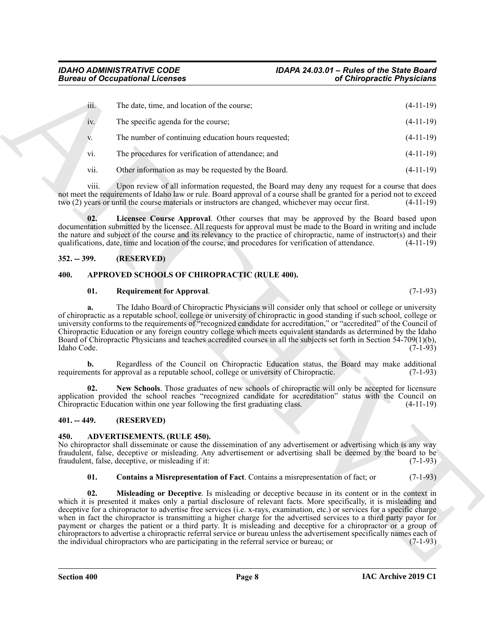| <b>Bureau of Occupational Licenses</b>                                                                                                                                                                                                                                                                                                                                                                                                                                                                                                                                                                                                                                                                                       | of Chiropractic Physicians                                                                      |
|------------------------------------------------------------------------------------------------------------------------------------------------------------------------------------------------------------------------------------------------------------------------------------------------------------------------------------------------------------------------------------------------------------------------------------------------------------------------------------------------------------------------------------------------------------------------------------------------------------------------------------------------------------------------------------------------------------------------------|-------------------------------------------------------------------------------------------------|
| iii.<br>The date, time, and location of the course;                                                                                                                                                                                                                                                                                                                                                                                                                                                                                                                                                                                                                                                                          | $(4-11-19)$                                                                                     |
| The specific agenda for the course;<br>iv.                                                                                                                                                                                                                                                                                                                                                                                                                                                                                                                                                                                                                                                                                   | $(4-11-19)$                                                                                     |
| The number of continuing education hours requested;<br>V.                                                                                                                                                                                                                                                                                                                                                                                                                                                                                                                                                                                                                                                                    | $(4-11-19)$                                                                                     |
| The procedures for verification of attendance; and<br>vi.                                                                                                                                                                                                                                                                                                                                                                                                                                                                                                                                                                                                                                                                    | $(4-11-19)$                                                                                     |
| vii.<br>Other information as may be requested by the Board.                                                                                                                                                                                                                                                                                                                                                                                                                                                                                                                                                                                                                                                                  | $(4-11-19)$                                                                                     |
| Upon review of all information requested, the Board may deny any request for a course that does<br>V111.<br>not meet the requirements of Idaho law or rule. Board approval of a course shall be granted for a period not to exceed<br>two (2) years or until the course materials or instructors are changed, whichever may occur first.                                                                                                                                                                                                                                                                                                                                                                                     | $(4-11-19)$                                                                                     |
| Licensee Course Approval. Other courses that may be approved by the Board based upon<br>02.<br>documentation submitted by the licensee. All requests for approval must be made to the Board in writing and include<br>the nature and subject of the course and its relevancy to the practice of chiropractic, name of instructor(s) and their<br>qualifications, date, time and location of the course, and procedures for verification of attendance.                                                                                                                                                                                                                                                                       | $(4-11-19)$                                                                                     |
| $352. - 399.$<br>(RESERVED)                                                                                                                                                                                                                                                                                                                                                                                                                                                                                                                                                                                                                                                                                                  |                                                                                                 |
| APPROVED SCHOOLS OF CHIROPRACTIC (RULE 400).<br>400.                                                                                                                                                                                                                                                                                                                                                                                                                                                                                                                                                                                                                                                                         |                                                                                                 |
| 01.<br><b>Requirement for Approval.</b>                                                                                                                                                                                                                                                                                                                                                                                                                                                                                                                                                                                                                                                                                      | $(7-1-93)$                                                                                      |
| The Idaho Board of Chiropractic Physicians will consider only that school or college or university<br>a.<br>of chiropractic as a reputable school, college or university of chiropractic in good standing if such school, college or<br>university conforms to the requirements of "recognized candidate for accreditation," or "accredited" of the Council of<br>Chiropractic Education or any foreign country college which meets equivalent standards as determined by the Idaho<br>Board of Chiropractic Physicians and teaches accredited courses in all the subjects set forth in Section 54-709(1)(b),<br>Idaho Code.                                                                                                 | $(7-1-93)$                                                                                      |
| Regardless of the Council on Chiropractic Education status, the Board may make additional<br>b.<br>requirements for approval as a reputable school, college or university of Chiropractic.                                                                                                                                                                                                                                                                                                                                                                                                                                                                                                                                   | $(7-1-93)$                                                                                      |
| New Schools. Those graduates of new schools of chiropractic will only be accepted for licensure<br>02.<br>application provided the school reaches "recognized candidate for accreditation" status with the Council on<br>Chiropractic Education within one year following the first graduating class.                                                                                                                                                                                                                                                                                                                                                                                                                        | $(4-11-19)$                                                                                     |
| (RESERVED)<br>$401. - 449.$                                                                                                                                                                                                                                                                                                                                                                                                                                                                                                                                                                                                                                                                                                  |                                                                                                 |
| <b>ADVERTISEMENTS. (RULE 450).</b><br>450.<br>No chiropractor shall disseminate or cause the dissemination of any advertisement or advertising which is any way<br>fraudulent, false, deceptive or misleading. Any advertisement or advertising shall be deemed by the board to be<br>fraudulent, false, deceptive, or misleading if it:                                                                                                                                                                                                                                                                                                                                                                                     | $(7-1-93)$                                                                                      |
| 01.<br>Contains a Misrepresentation of Fact. Contains a misrepresentation of fact; or                                                                                                                                                                                                                                                                                                                                                                                                                                                                                                                                                                                                                                        | $(7-1-93)$                                                                                      |
|                                                                                                                                                                                                                                                                                                                                                                                                                                                                                                                                                                                                                                                                                                                              | Misleading or Deceptive. Is misleading or deceptive because in its content or in the context in |
| 02.<br>which it is presented it makes only a partial disclosure of relevant facts. More specifically, it is misleading and<br>deceptive for a chiropractor to advertise free services (i.e. x-rays, examination, etc.) or services for a specific charge<br>when in fact the chiropractor is transmitting a higher charge for the advertised services to a third party payor for<br>payment or charges the patient or a third party. It is misleading and deceptive for a chiropractor or a group of<br>chiropractors to advertise a chiropractic referral service or bureau unless the advertisement specifically names each of<br>the individual chiropractors who are participating in the referral service or bureau; or | $(7-1-93)$                                                                                      |

#### <span id="page-7-7"></span><span id="page-7-0"></span>**352. -- 399. (RESERVED)**

#### <span id="page-7-1"></span>**400. APPROVED SCHOOLS OF CHIROPRACTIC (RULE 400).**

#### <span id="page-7-10"></span><span id="page-7-8"></span>**01. Requirement for Approval**. (7-1-93)

#### <span id="page-7-9"></span><span id="page-7-2"></span>**401. -- 449. (RESERVED)**

#### <span id="page-7-4"></span><span id="page-7-3"></span>**450. ADVERTISEMENTS. (RULE 450).**

#### <span id="page-7-6"></span><span id="page-7-5"></span>**01. Contains a Misrepresentation of Fact**. Contains a misrepresentation of fact; or (7-1-93)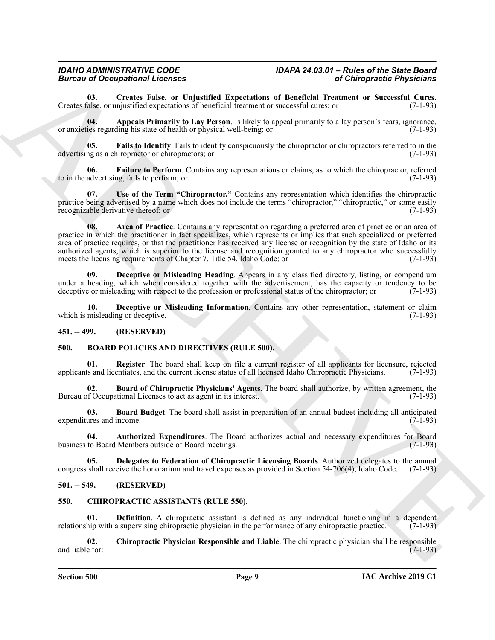<span id="page-8-6"></span>**03.** Creates False, or Unjustified Expectations of Beneficial Treatment or Successful Cures.<br>
Salse, or unjustified expectations of beneficial treatment or successful cures; or (7-1-93) Creates false, or unjustified expectations of beneficial treatment or successful cures; or

<span id="page-8-4"></span>**04. Appeals Primarily to Lay Person**. Is likely to appeal primarily to a lay person's fears, ignorance, or anxieties regarding his state of health or physical well-being; or (7-1-93)

<span id="page-8-9"></span>**05.** Fails to Identify. Fails to identify conspicuously the chiropractor or chiropractors referred to in the ng as a chiropractor or chiropractors: or  $(7-1-93)$ advertising as a chiropractor or chiropractors; or

<span id="page-8-10"></span>**06. Failure to Perform**. Contains any representations or claims, as to which the chiropractor, referred to in the advertising, fails to perform; or (7-1-93)

<span id="page-8-11"></span><span id="page-8-5"></span>**07. Use of the Term "Chiropractor."** Contains any representation which identifies the chiropractic practice being advertised by a name which does not include the terms "chiropractor," "chiropractic," or some easily recognizable derivative thereof; or (7-1-93)

Bioreso Cocapability Representation of Beneficial Architecture Physicisms<br>
Cross and the Comparison of Beneficial Architecture of Beneficial Architecture of the Comparison<br>
Cross and Appende Framities to Lap Architecture **08. Area of Practice**. Contains any representation regarding a preferred area of practice or an area of practice in which the practitioner in fact specializes, which represents or implies that such specialized or preferred area of practice requires, or that the practitioner has received any license or recognition by the state of Idaho or its authorized agents, which is superior to the license and recognition granted to any chiropractor who successfully meets the licensing requirements of Chapter 7, Title 54, Idaho Code; or (7-1-93)

<span id="page-8-7"></span>**09. Deceptive or Misleading Heading**. Appears in any classified directory, listing, or compendium under a heading, which when considered together with the advertisement, has the capacity or tendency to be deceptive or misleading with respect to the profession or professional status of the chiropractor; or (7-1-93)

<span id="page-8-8"></span>**10. Deceptive or Misleading Information**. Contains any other representation, statement or claim which is misleading or deceptive. (7-1-93)

#### <span id="page-8-0"></span>**451. -- 499. (RESERVED)**

#### <span id="page-8-12"></span><span id="page-8-1"></span>**500. BOARD POLICIES AND DIRECTIVES (RULE 500).**

<span id="page-8-17"></span>**01. Register**. The board shall keep on file a current register of all applicants for licensure, rejected is and licentiates, and the current license status of all licensed Idaho Chiropractic Physicians. (7-1-93) applicants and licentiates, and the current license status of all licensed Idaho Chiropractic Physicians.

<span id="page-8-15"></span>**02. Board of Chiropractic Physicians' Agents**. The board shall authorize, by written agreement, the Bureau of Occupational Licenses to act as agent in its interest. (7-1-93)

<span id="page-8-14"></span>**03. Board Budget**. The board shall assist in preparation of an annual budget including all anticipated expenditures and income. (7-1-93)

<span id="page-8-13"></span>**04. Authorized Expenditures**. The Board authorizes actual and necessary expenditures for Board business to Board Members outside of Board meetings.

<span id="page-8-16"></span>**05. Delegates to Federation of Chiropractic Licensing Boards**. Authorized delegates to the annual congress shall receive the honorarium and travel expenses as provided in Section 54-706(4), Idaho Code. (7-1-93)

#### <span id="page-8-2"></span>**501. -- 549. (RESERVED)**

#### <span id="page-8-18"></span><span id="page-8-3"></span>**550. CHIROPRACTIC ASSISTANTS (RULE 550).**

<span id="page-8-20"></span>**01. Definition**. A chiropractic assistant is defined as any individual functioning in a dependent relationship with a supervising chiropractic physician in the performance of any chiropractic practice. (7-1-93)

<span id="page-8-19"></span>**02. Chiropractic Physician Responsible and Liable**. The chiropractic physician shall be responsible and liable for: (7-1-93)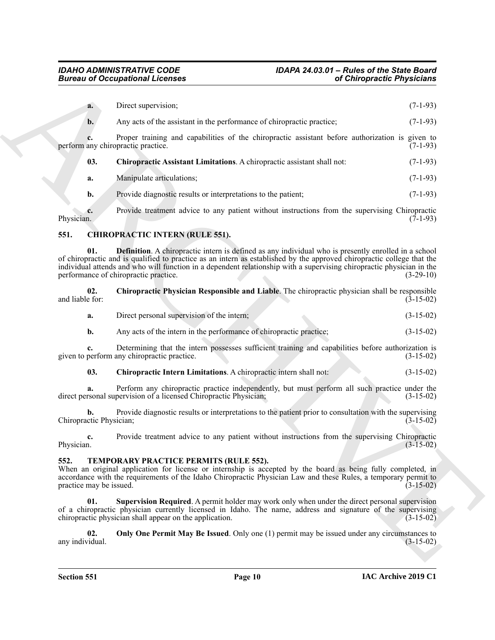|                                 | <b>Bureau of Occupational Licenses</b>                                                                                                                                                                                                                                                                                                                                                                   | of Chiropractic Physicians |  |  |
|---------------------------------|----------------------------------------------------------------------------------------------------------------------------------------------------------------------------------------------------------------------------------------------------------------------------------------------------------------------------------------------------------------------------------------------------------|----------------------------|--|--|
| a.                              | Direct supervision;                                                                                                                                                                                                                                                                                                                                                                                      | $(7-1-93)$                 |  |  |
| $\mathbf{b}$ .                  | Any acts of the assistant in the performance of chiropractic practice;                                                                                                                                                                                                                                                                                                                                   | $(7-1-93)$                 |  |  |
| c.                              | Proper training and capabilities of the chiropractic assistant before authorization is given to<br>perform any chiropractic practice.                                                                                                                                                                                                                                                                    | $(7-1-93)$                 |  |  |
| 03.                             | Chiropractic Assistant Limitations. A chiropractic assistant shall not:                                                                                                                                                                                                                                                                                                                                  | $(7-1-93)$                 |  |  |
| a.                              | Manipulate articulations;                                                                                                                                                                                                                                                                                                                                                                                | $(7-1-93)$                 |  |  |
| b.                              | Provide diagnostic results or interpretations to the patient;                                                                                                                                                                                                                                                                                                                                            | $(7-1-93)$                 |  |  |
| c.<br>Physician.                | Provide treatment advice to any patient without instructions from the supervising Chiropractic                                                                                                                                                                                                                                                                                                           | $(7-1-93)$                 |  |  |
| 551.                            | <b>CHIROPRACTIC INTERN (RULE 551).</b>                                                                                                                                                                                                                                                                                                                                                                   |                            |  |  |
| 01.                             | <b>Definition</b> . A chiropractic intern is defined as any individual who is presently enrolled in a school<br>of chiropractic and is qualified to practice as an intern as established by the approved chiropractic college that the<br>individual attends and who will function in a dependent relationship with a supervising chiropractic physician in the<br>performance of chiropractic practice. | $(3-29-10)$                |  |  |
| 02.<br>and liable for:          | Chiropractic Physician Responsible and Liable. The chiropractic physician shall be responsible                                                                                                                                                                                                                                                                                                           | $(3-15-02)$                |  |  |
| a.                              | Direct personal supervision of the intern;                                                                                                                                                                                                                                                                                                                                                               | $(3-15-02)$                |  |  |
| $\mathbf{b}$ .                  | Any acts of the intern in the performance of chiropractic practice;                                                                                                                                                                                                                                                                                                                                      | $(3-15-02)$                |  |  |
| c.                              | Determining that the intern possesses sufficient training and capabilities before authorization is<br>given to perform any chiropractic practice.                                                                                                                                                                                                                                                        | $(3-15-02)$                |  |  |
| 03.                             | Chiropractic Intern Limitations. A chiropractic intern shall not:                                                                                                                                                                                                                                                                                                                                        | $(3-15-02)$                |  |  |
|                                 | Perform any chiropractic practice independently, but must perform all such practice under the<br>direct personal supervision of a licensed Chiropractic Physician;                                                                                                                                                                                                                                       | $(3-15-02)$                |  |  |
| b.<br>Chiropractic Physician;   | Provide diagnostic results or interpretations to the patient prior to consultation with the supervising                                                                                                                                                                                                                                                                                                  | $(3-15-02)$                |  |  |
| c.<br>Physician.                | Provide treatment advice to any patient without instructions from the supervising Chiropractic                                                                                                                                                                                                                                                                                                           | $(3-15-02)$                |  |  |
| 552.<br>practice may be issued. | TEMPORARY PRACTICE PERMITS (RULE 552).<br>When an original application for license or internship is accepted by the board as being fully completed, in<br>accordance with the requirements of the Idaho Chiropractic Physician Law and these Rules, a temporary permit to                                                                                                                                | $(3-15-02)$                |  |  |
| 01.                             | Supervision Required. A permit holder may work only when under the direct personal supervision<br>of a chiropractic physician currently licensed in Idaho. The name, address and signature of the supervising<br>chiropractic physician shall appear on the application.                                                                                                                                 | $(3-15-02)$                |  |  |
| 02.<br>any individual.          | Only One Permit May Be Issued. Only one (1) permit may be issued under any circumstances to                                                                                                                                                                                                                                                                                                              | $(3-15-02)$                |  |  |
|                                 |                                                                                                                                                                                                                                                                                                                                                                                                          |                            |  |  |

#### <span id="page-9-6"></span><span id="page-9-3"></span><span id="page-9-2"></span><span id="page-9-0"></span>**551. CHIROPRACTIC INTERN (RULE 551).**

| and liable for: | Chiropractic Physician Responsible and Liable. The chiropractic physician shall be responsible |  | $(3-15-02)$ |
|-----------------|------------------------------------------------------------------------------------------------|--|-------------|
|                 |                                                                                                |  |             |

<span id="page-9-5"></span><span id="page-9-4"></span>

| а. |  | Direct personal supervision of the intern: |  |  | $(3-15-02)$ |  |
|----|--|--------------------------------------------|--|--|-------------|--|
|----|--|--------------------------------------------|--|--|-------------|--|

#### <span id="page-9-9"></span><span id="page-9-8"></span><span id="page-9-7"></span><span id="page-9-1"></span>**552. TEMPORARY PRACTICE PERMITS (RULE 552).**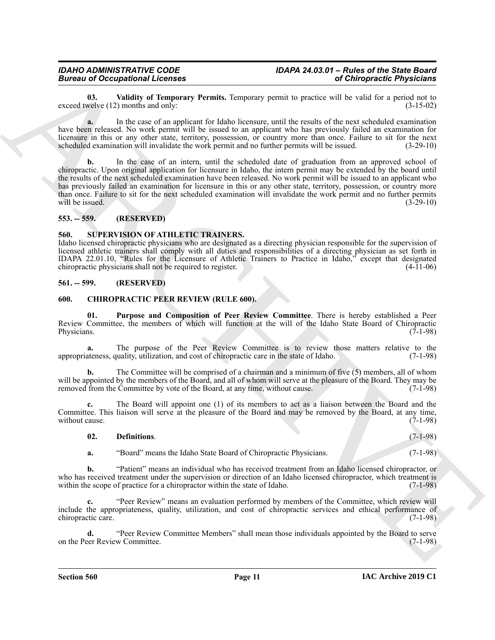<span id="page-10-8"></span>**03.** Validity of Temporary Permits. Temporary permit to practice will be valid for a period not to welve (12) months and only: exceed twelve  $(12)$  months and only:

**a.** In the case of an applicant for Idaho licensure, until the results of the next scheduled examination have been released. No work permit will be issued to an applicant who has previously failed an examination for licensure in this or any other state, territory, possession, or country more than once. Failure to sit for the next scheduled examination will invalidate the work permit and no further permits will be issued. (3-29-10) scheduled examination will invalidate the work permit and no further permits will be issued.

Borrow of Occupation Heroice continues the matter is the property of the based of the space of the space of the space of the space of the space of the space of the space of the space of the space of the space of the space **b.** In the case of an intern, until the scheduled date of graduation from an approved school of chiropractic. Upon original application for licensure in Idaho, the intern permit may be extended by the board until the results of the next scheduled examination have been released. No work permit will be issued to an applicant who has previously failed an examination for licensure in this or any other state, territory, possession, or country more than once. Failure to sit for the next scheduled examination will invalidate the work permit and no further permits will be issued.  $(3-29-10)$ 

#### <span id="page-10-0"></span>**553. -- 559. (RESERVED)**

#### <span id="page-10-7"></span><span id="page-10-1"></span>**560. SUPERVISION OF ATHLETIC TRAINERS.**

Idaho licensed chiropractic physicians who are designated as a directing physician responsible for the supervision of licensed athletic trainers shall comply with all duties and responsibilities of a directing physician as set forth in IDAPA 22.01.10, "Rules for the Licensure of Athletic Trainers to Practice in Idaho," except that designated chiropractic physicians shall not be required to register.

#### <span id="page-10-2"></span>**561. -- 599. (RESERVED)**

#### <span id="page-10-4"></span><span id="page-10-3"></span>**600. CHIROPRACTIC PEER REVIEW (RULE 600).**

<span id="page-10-6"></span>**01. Purpose and Composition of Peer Review Committee**. There is hereby established a Peer Review Committee, the members of which will function at the will of the Idaho State Board of Chiropractic Physicians.  $(7-1-98)$ 

**a.** The purpose of the Peer Review Committee is to review those matters relative to the appropriateness, quality, utilization, and cost of chiropractic care in the state of Idaho. (7-1-98)

**b.** The Committee will be comprised of a chairman and a minimum of five (5) members, all of whom will be appointed by the members of the Board, and all of whom will serve at the pleasure of the Board. They may be removed from the Committee by vote of the Board, at any time, without cause. (7-1-98)

**c.** The Board will appoint one (1) of its members to act as a liaison between the Board and the Committee. This liaison will serve at the pleasure of the Board and may be removed by the Board, at any time, without cause.  $(7-1-98)$ 

<span id="page-10-5"></span>

| 02. | Definitions. |  |  | $(7-1-98)$ |
|-----|--------------|--|--|------------|
|     |              |  |  |            |

**a.** "Board" means the Idaho State Board of Chiropractic Physicians. (7-1-98)

**b.** "Patient" means an individual who has received treatment from an Idaho licensed chiropractor, or who has received treatment under the supervision or direction of an Idaho licensed chiropractor, which treatment is within the scope of practice for a chiropractor within the state of Idaho. (7-1-98)

**c.** "Peer Review" means an evaluation performed by members of the Committee, which review will include the appropriateness, quality, utilization, and cost of chiropractic services and ethical performance of chiropractic care. (7-1-98)

**d.** "Peer Review Committee Members" shall mean those individuals appointed by the Board to serve eer Review Committee. (7-1-98) on the Peer Review Committee.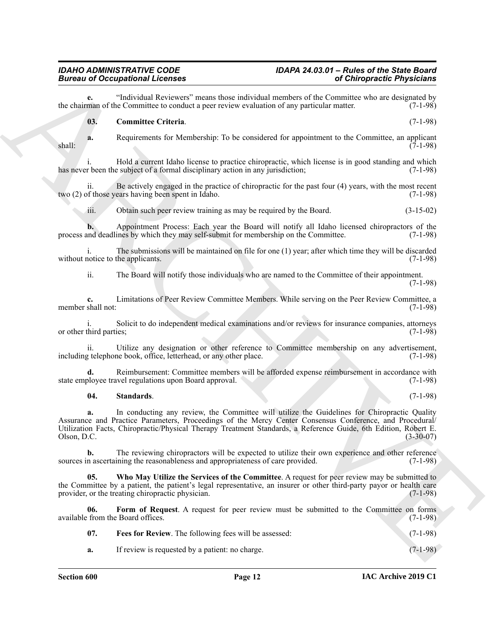**e.** "Individual Reviewers" means those individual members of the Committee who are designated by man of the Committee to conduct a peer review evaluation of any particular matter. (7-1-98) the chairman of the Committee to conduct a peer review evaluation of any particular matter.

#### <span id="page-11-0"></span>**03. Committee Criteria**. (7-1-98)

**a.** Requirements for Membership: To be considered for appointment to the Committee, an applicant (7-1-98)  $\frac{1}{7}$ shall:  $\frac{7}{7}$ -1-98)

i. Hold a current Idaho license to practice chiropractic, which license is in good standing and which has never been the subject of a formal disciplinary action in any jurisdiction; (7-1-98)

ii. Be actively engaged in the practice of chiropractic for the past four  $(4)$  years, with the most recent of those years having been spent in Idaho. two  $(2)$  of those years having been spent in Idaho.

iii. Obtain such peer review training as may be required by the Board. (3-15-02)

**b.** Appointment Process: Each year the Board will notify all Idaho licensed chiropractors of the process and deadlines by which they may self-submit for membership on the Committee. (7-1-98)

i. The submissions will be maintained on file for one (1) year; after which time they will be discarded without notice to the applicants. (7-1-98)

ii. The Board will notify those individuals who are named to the Committee of their appointment.

(7-1-98)

**c.** Limitations of Peer Review Committee Members. While serving on the Peer Review Committee, a member shall not: (7-1-98)

i. Solicit to do independent medical examinations and/or reviews for insurance companies, attorneys or other third parties; (7-1-98)

ii. Utilize any designation or other reference to Committee membership on any advertisement, including telephone book, office, letterhead, or any other place. (7-1-98)

**d.** Reimbursement: Committee members will be afforded expense reimbursement in accordance with state employee travel regulations upon Board approval. (7-1-98)

#### <span id="page-11-3"></span>**04. Standards**. (7-1-98)

Bureau of Occupation at Lemmatic scheme of the consistency of Orientation and the Channel Scheme of the Channel Scheme of the Channel Scheme of the Channel Scheme of the Channel Scheme of the Channel Scheme of the Channel **a.** In conducting any review, the Committee will utilize the Guidelines for Chiropractic Quality Assurance and Practice Parameters, Proceedings of the Mercy Center Consensus Conference, and Procedural/ Utilization Facts, Chiropractic/Physical Therapy Treatment Standards, a Reference Guide, 6th Edition, Robert E. Olson, D.C. (3-30-07)

**b.** The reviewing chiropractors will be expected to utilize their own experience and other reference n ascertaining the reasonableness and appropriateness of care provided. (7-1-98) sources in ascertaining the reasonableness and appropriateness of care provided.

<span id="page-11-4"></span>**05. Who May Utilize the Services of the Committee**. A request for peer review may be submitted to the Committee by a patient, the patient's legal representative, an insurer or other third-party payor or health care<br>provider, or the treating chiropractic physician. (7-1-98) provider, or the treating chiropractic physician.

**06. Form of Request**. A request for peer review must be submitted to the Committee on forms available from the Board offices. (7-1-98)

<span id="page-11-2"></span><span id="page-11-1"></span>

| 07. | <b>Fees for Review.</b> The following fees will be assessed: | $(7-1-98)$ |
|-----|--------------------------------------------------------------|------------|
| a.  | If review is requested by a patient: no charge.              | $(7-1-98)$ |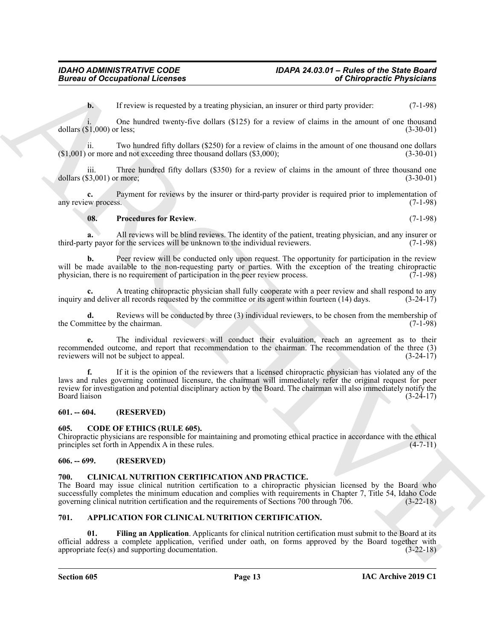**b.** If review is requested by a treating physician, an insurer or third party provider: (7-1-98)

i. One hundred twenty-five dollars  $(\$125)$  for a review of claims in the amount of one thousand  $(\$1,000)$  or less; dollars  $(\$1,000)$  or less;

ii. Two hundred fifty dollars (\$250) for a review of claims in the amount of one thousand one dollars or more and not exceeding three thousand dollars (\$3,000): (3-30-01)  $($1,001)$  or more and not exceeding three thousand dollars  $($3,000)$ ;

iii. Three hundred fifty dollars (\$350) for a review of claims in the amount of three thousand one dollars (\$3,001) or more; (3-30-01)

**c.** Payment for reviews by the insurer or third-party provider is required prior to implementation of any review process. (7-1-98)

#### <span id="page-12-7"></span>**08. Procedures for Review**. (7-1-98)

**a.** All reviews will be blind reviews. The identity of the patient, treating physician, and any insurer or third-party payor for the services will be unknown to the individual reviewers. (7-1-98)

**b.** Peer review will be conducted only upon request. The opportunity for participation in the review will be made available to the non-requesting party or parties. With the exception of the treating chiropractic physician, there is no requirement of participation in the peer review process. (7-1-98) physician, there is no requirement of participation in the peer review process.

A treating chiropractic physician shall fully cooperate with a peer review and shall respond to any r all records requested by the committee or its agent within fourteen (14) days.  $(3-24-17)$ inquiry and deliver all records requested by the committee or its agent within fourteen (14) days.

**d.** Reviews will be conducted by three (3) individual reviewers, to be chosen from the membership of the Committee by the chairman. (7-1-98)

**e.** The individual reviewers will conduct their evaluation, reach an agreement as to their recommended outcome, and report that recommendation to the chairman. The recommendation of the three (3) reviewers will not be subject to appeal. (3-24-17)

Given to Occupational Licensins<br>
(a) Chinese transfer to a analog physician and moreover this particular to the symptomistic control of the symptomistic control of the symptomistic control of the symptomistic control of t **f.** If it is the opinion of the reviewers that a licensed chiropractic physician has violated any of the laws and rules governing continued licensure, the chairman will immediately refer the original request for peer review for investigation and potential disciplinary action by the Board. The chairman will also immediately notify the Board liaison (3-24-17)

#### <span id="page-12-0"></span>**601. -- 604. (RESERVED)**

#### <span id="page-12-9"></span><span id="page-12-1"></span>**605. CODE OF ETHICS (RULE 605).**

Chiropractic physicians are responsible for maintaining and promoting ethical practice in accordance with the ethical principles set forth in Appendix  $A$  in these rules.

#### <span id="page-12-2"></span>**606. -- 699. (RESERVED)**

#### <span id="page-12-8"></span><span id="page-12-3"></span>**700. CLINICAL NUTRITION CERTIFICATION AND PRACTICE.**

The Board may issue clinical nutrition certification to a chiropractic physician licensed by the Board who successfully completes the minimum education and complies with requirements in Chapter 7, Title 54, Idaho Code governing clinical nutrition certification and the requirements of Sections 700 through 706. (3-22-18)

#### <span id="page-12-5"></span><span id="page-12-4"></span>**701. APPLICATION FOR CLINICAL NUTRITION CERTIFICATION.**

<span id="page-12-6"></span>**01. Filing an Application**. Applicants for clinical nutrition certification must submit to the Board at its official address a complete application, verified under oath, on forms approved by the Board together with appropriate fee(s) and supporting documentation.  $(3-22-18)$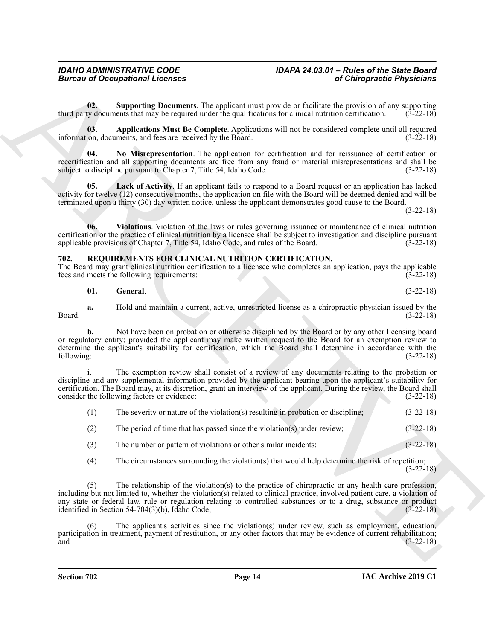#### <span id="page-13-7"></span><span id="page-13-6"></span><span id="page-13-5"></span><span id="page-13-3"></span><span id="page-13-2"></span><span id="page-13-0"></span>**702. REQUIREMENTS FOR CLINICAL NUTRITION CERTIFICATION.**

<span id="page-13-4"></span><span id="page-13-1"></span>

|                  | <b>Bureau of Occupational Licenses</b>                                                                                                                                                                                                                                                             |                                                                                                           | of Chiropractic Physicians |
|------------------|----------------------------------------------------------------------------------------------------------------------------------------------------------------------------------------------------------------------------------------------------------------------------------------------------|-----------------------------------------------------------------------------------------------------------|----------------------------|
| 02.              | third party documents that may be required under the qualifications for clinical nutrition certification.                                                                                                                                                                                          | <b>Supporting Documents</b> . The applicant must provide or facilitate the provision of any supporting    | $(3-22-18)$                |
| 03.              | information, documents, and fees are received by the Board.                                                                                                                                                                                                                                        | Applications Must Be Complete. Applications will not be considered complete until all required            | $(3-22-18)$                |
| 04.              | recertification and all supporting documents are free from any fraud or material misrepresentations and shall be<br>subject to discipline pursuant to Chapter 7, Title 54, Idaho Code.                                                                                                             | No Misrepresentation. The application for certification and for reissuance of certification or            | $(3-22-18)$                |
| 05.              | activity for twelve (12) consecutive months, the application on file with the Board will be deemed denied and will be<br>terminated upon a thirty (30) day written notice, unless the applicant demonstrates good cause to the Board.                                                              | <b>Lack of Activity.</b> If an applicant fails to respond to a Board request or an application has lacked | $(3-22-18)$                |
| 06.              | certification or the practice of clinical nutrition by a licensee shall be subject to investigation and discipline pursuant<br>applicable provisions of Chapter 7, Title 54, Idaho Code, and rules of the Board.                                                                                   | Violations. Violation of the laws or rules governing issuance or maintenance of clinical nutrition        | $(3-22-18)$                |
| 702.             | REQUIREMENTS FOR CLINICAL NUTRITION CERTIFICATION.<br>The Board may grant clinical nutrition certification to a licensee who completes an application, pays the applicable<br>fees and meets the following requirements:                                                                           |                                                                                                           | $(3-22-18)$                |
| 01.              | General.                                                                                                                                                                                                                                                                                           |                                                                                                           | $(3-22-18)$                |
| a.<br>Board.     |                                                                                                                                                                                                                                                                                                    | Hold and maintain a current, active, unrestricted license as a chiropractic physician issued by the       | $(3-22-18)$                |
| b.<br>following: | or regulatory entity; provided the applicant may make written request to the Board for an exemption review to<br>determine the applicant's suitability for certification, which the Board shall determine in accordance with the                                                                   | Not have been on probation or otherwise disciplined by the Board or by any other licensing board          | $(3-22-18)$                |
|                  | discipline and any supplemental information provided by the applicant bearing upon the applicant's suitability for<br>certification. The Board may, at its discretion, grant an interview of the applicant. During the review, the Board shall<br>consider the following factors or evidence:      | The exemption review shall consist of a review of any documents relating to the probation or              | $(3-22-18)$                |
| (1)              | The severity or nature of the violation(s) resulting in probation or discipline;                                                                                                                                                                                                                   |                                                                                                           | $(3-22-18)$                |
| (2)              | The period of time that has passed since the violation(s) under review;                                                                                                                                                                                                                            |                                                                                                           | $(3-22-18)$                |
| (3)              | The number or pattern of violations or other similar incidents;                                                                                                                                                                                                                                    |                                                                                                           | $(3-22-18)$                |
| (4)              |                                                                                                                                                                                                                                                                                                    | The circumstances surrounding the violation(s) that would help determine the risk of repetition;          | $(3-22-18)$                |
| (5)              | including but not limited to, whether the violation(s) related to clinical practice, involved patient care, a violation of<br>any state or federal law, rule or regulation relating to controlled substances or to a drug, substance or product<br>identified in Section 54-704(3)(b), Idaho Code; | The relationship of the violation(s) to the practice of chiropractic or any health care profession,       | $(3-22-18)$                |
| (6)<br>and       | participation in treatment, payment of restitution, or any other factors that may be evidence of current rehabilitation;                                                                                                                                                                           | The applicant's activities since the violation(s) under review, such as employment, education,            | $(3-22-18)$                |
|                  |                                                                                                                                                                                                                                                                                                    |                                                                                                           |                            |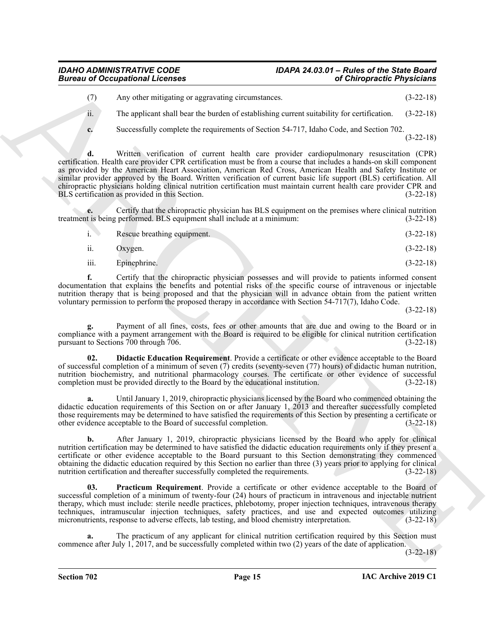### *IDAHO ADMINISTRATIVE CODE IDAPA 24.03.01 – Rules of the State Board*

(7) Any other mitigating or aggravating circumstances. (3-22-18)

ii. The applicant shall bear the burden of establishing current suitability for certification. (3-22-18)

**c.** Successfully complete the requirements of Section 54-717, Idaho Code, and Section 702. (3-22-18)

Given to Cocapacitorial Licensins<br>
(a) Chinese registres and Chinese registres and Chinese registres and Chinese registres and Science registres and Science registres and Science registres and Science registres and Scienc **d.** Written verification of current health care provider cardiopulmonary resuscitation (CPR) certification. Health care provider CPR certification must be from a course that includes a hands-on skill component as provided by the American Heart Association, American Red Cross, American Health and Safety Institute or similar provider approved by the Board. Written verification of current basic life support (BLS) certification. All chiropractic physicians holding clinical nutrition certification must maintain current health care provider CPR and BLS certification as provided in this Section.

**e.** Certify that the chiropractic physician has BLS equipment on the premises where clinical nutrition treatment is being performed. BLS equipment shall include at a minimum: (3-22-18)

|      | Rescue breathing equipment. | $(3-22-18)$ |
|------|-----------------------------|-------------|
| ii.  | Oxygen.                     | $(3-22-18)$ |
| iii. | Epinephrine.                | $(3-22-18)$ |

**f.** Certify that the chiropractic physician possesses and will provide to patients informed consent documentation that explains the benefits and potential risks of the specific course of intravenous or injectable nutrition therapy that is being proposed and that the physician will in advance obtain from the patient written voluntary permission to perform the proposed therapy in accordance with Section 54-717(7), Idaho Code.

(3-22-18)

**g.** Payment of all fines, costs, fees or other amounts that are due and owing to the Board or in compliance with a payment arrangement with the Board is required to be eligible for clinical nutrition certification pursuant to Sections 700 through 706. pursuant to Sections  $700$  through  $706$ .

<span id="page-14-0"></span>**02. Didactic Education Requirement**. Provide a certificate or other evidence acceptable to the Board of successful completion of a minimum of seven (7) credits (seventy-seven (77) hours) of didactic human nutrition, nutrition biochemistry, and nutritional pharmacology courses. The certificate or other evidence of successful completion must be provided directly to the Board by the educational institution. (3-22-18)

Until January 1, 2019, chiropractic physicians licensed by the Board who commenced obtaining the didactic education requirements of this Section on or after January 1, 2013 and thereafter successfully completed those requirements may be determined to have satisfied the requirements of this Section by presenting a certificate or other evidence acceptable to the Board of successful completion. (3-22-18)

**b.** After January 1, 2019, chiropractic physicians licensed by the Board who apply for clinical nutrition certification may be determined to have satisfied the didactic education requirements only if they present a certificate or other evidence acceptable to the Board pursuant to this Section demonstrating they commenced obtaining the didactic education required by this Section no earlier than three (3) years prior to applying for clinical nutrition certification and thereafter successfully completed the requirements. (3-22-18)

<span id="page-14-1"></span>**03. Practicum Requirement**. Provide a certificate or other evidence acceptable to the Board of successful completion of a minimum of twenty-four (24) hours of practicum in intravenous and injectable nutrient therapy, which must include: sterile needle practices, phlebotomy, proper injection techniques, intravenous therapy techniques, intramuscular injection techniques, safety practices, and use and expected outcomes utilizing micronutrients, response to adverse effects, lab testing, and blood chemistry interpretation. (3-22-18)

**a.** The practicum of any applicant for clinical nutrition certification required by this Section must commence after July 1, 2017, and be successfully completed within two (2) years of the date of application.

(3-22-18)

**Section 702 Page 15**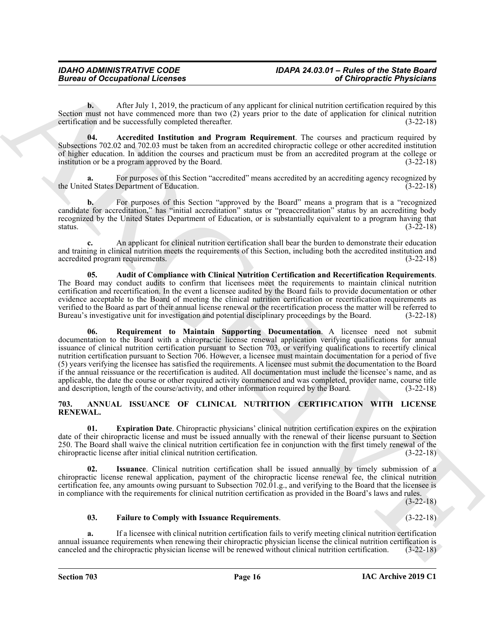**b.** After July 1, 2019, the practicum of any applicant for clinical nutrition certification required by this Section must not have commenced more than two (2) years prior to the date of application for clinical nutrition certification and be successfully completed thereafter. (3-22-18) certification and be successfully completed thereafter.

<span id="page-15-5"></span>**04. Accredited Institution and Program Requirement**. The courses and practicum required by Subsections 702.02 and 702.03 must be taken from an accredited chiropractic college or other accredited institution of higher education. In addition the courses and practicum must be from an accredited program at the college or institution or be a program approved by the Board. (3-22-18)

For purposes of this Section "accredited" means accredited by an accrediting agency recognized by the United States Department of Education. (3-22-18)

**b.** For purposes of this Section "approved by the Board" means a program that is a "recognized candidate for accreditation," has "initial accreditation" status or "preaccreditation" status by an accrediting body recognized by the United States Department of Education, or is substantially equivalent to a program having that status. (3-22-18) status.  $(3-22-18)$ 

**c.** An applicant for clinical nutrition certification shall bear the burden to demonstrate their education and training in clinical nutrition meets the requirements of this Section, including both the accredited institution and accredited program requirements. (3-22-18)

<span id="page-15-7"></span><span id="page-15-6"></span>**05. Audit of Compliance with Clinical Nutrition Certification and Recertification Requirements**. The Board may conduct audits to confirm that licensees meet the requirements to maintain clinical nutrition certification and recertification. In the event a licensee audited by the Board fails to provide documentation or other evidence acceptable to the Board of meeting the clinical nutrition certification or recertification requirements as verified to the Board as part of their annual license renewal or the recertification process the matter will be referred to Bureau's investigative unit for investigation and potential disciplinary proceedings by the Board. Bureau's investigative unit for investigation and potential disciplinary proceedings by the Board.

Given to Occupational Leonics<br>
Valid May 18 (2014) and the Alta method in an opplicate the late and the late method control of the late method with the state of the late method with the state of the late method with the s **06. Requirement to Maintain Supporting Documentation**. A licensee need not submit documentation to the Board with a chiropractic license renewal application verifying qualifications for annual issuance of clinical nutrition certification pursuant to Section 703, or verifying qualifications to recertify clinical nutrition certification pursuant to Section 706. However, a licensee must maintain documentation for a period of five (5) years verifying the licensee has satisfied the requirements. A licensee must submit the documentation to the Board if the annual reissuance or the recertification is audited. All documentation must include the licensee's name, and as applicable, the date the course or other required activity commenced and was completed, provider name, course title and description, length of the course/activity, and other information required by the Board. (3-22-18)

#### <span id="page-15-1"></span><span id="page-15-0"></span>**703. ANNUAL ISSUANCE OF CLINICAL NUTRITION CERTIFICATION WITH LICENSE RENEWAL.**

<span id="page-15-2"></span>**01. Expiration Date**. Chiropractic physicians' clinical nutrition certification expires on the expiration date of their chiropractic license and must be issued annually with the renewal of their license pursuant to Section 250. The Board shall waive the clinical nutrition certification fee in conjunction with the first timely renewal of the chiropractic license after initial clinical nutrition certification. (3-22-18)

<span id="page-15-4"></span>**02. Issuance**. Clinical nutrition certification shall be issued annually by timely submission of a chiropractic license renewal application, payment of the chiropractic license renewal fee, the clinical nutrition certification fee, any amounts owing pursuant to Subsection 702.01.g., and verifying to the Board that the licensee is in compliance with the requirements for clinical nutrition certification as provided in the Board's laws and rules.

(3-22-18)

#### <span id="page-15-3"></span>**03. Failure to Comply with Issuance Requirements**. (3-22-18)

**a.** If a licensee with clinical nutrition certification fails to verify meeting clinical nutrition certification annual issuance requirements when renewing their chiropractic physician license the clinical nutrition certification is canceled and the chiropractic physician license will be renewed without clinical nutrition certification. (3-22-18)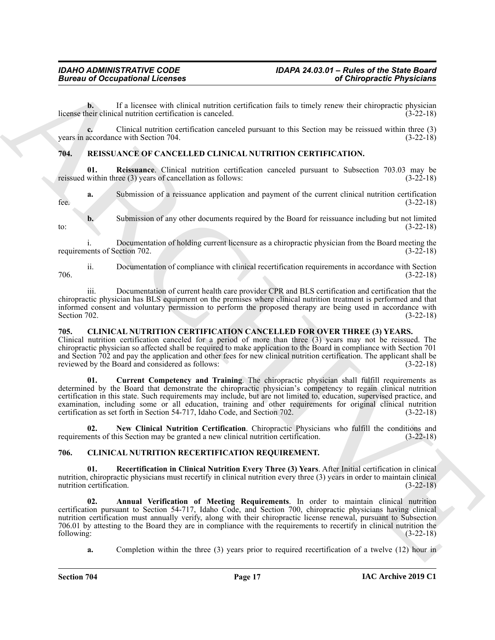### *Bureau of Occupational Licenses*

**b.** If a licensee with clinical nutrition certification fails to timely renew their chiropractic physician license their clinical nutrition certification is canceled. (3-22-18)

**c.** Clinical nutrition certification canceled pursuant to this Section may be reissued within three (3) years in accordance with Section 704. (3-22-18)

#### <span id="page-16-10"></span><span id="page-16-9"></span><span id="page-16-0"></span>**704. REISSUANCE OF CANCELLED CLINICAL NUTRITION CERTIFICATION.**

**01.** Reissuance. Clinical nutrition certification canceled pursuant to Subsection 703.03 may be within three (3) years of cancellation as follows: (3-22-18) reissued within three  $(3)$  years of cancellation as follows:

**a.** Submission of a reissuance application and payment of the current clinical nutrition certification fee. (3-22-18)

**b.** Submission of any other documents required by the Board for reissuance including but not limited (3-22-18) to:  $(3-22-18)$ 

i. Documentation of holding current licensure as a chiropractic physician from the Board meeting the ents of Section 702. requirements of Section 702.

ii. Documentation of compliance with clinical recertification requirements in accordance with Section 706. (3-22-18)

iii. Documentation of current health care provider CPR and BLS certification and certification that the chiropractic physician has BLS equipment on the premises where clinical nutrition treatment is performed and that informed consent and voluntary permission to perform the proposed therapy are being used in accordance with Section 702. (3-22-18) Section 702. (3-22-18)

#### <span id="page-16-3"></span><span id="page-16-1"></span>**705. CLINICAL NUTRITION CERTIFICATION CANCELLED FOR OVER THREE (3) YEARS.**

<span id="page-16-4"></span>Clinical nutrition certification canceled for a period of more than three (3) years may not be reissued. The chiropractic physician so affected shall be required to make application to the Board in compliance with Section 701 and Section 702 and pay the application and other fees for new clinical nutrition certification. The applicant shall be reviewed by the Board and considered as follows: (3-22-18)

Given to Occupational Licensins<br>
Leave and the state in the state of the state of the state of the state of the state of the state of the state of the state of the state of the state of the state of the state of the state **01. Current Competency and Training**. The chiropractic physician shall fulfill requirements as determined by the Board that demonstrate the chiropractic physician's competency to regain clinical nutrition certification in this state. Such requirements may include, but are not limited to, education, supervised practice, and examination, including some or all education, training and other requirements for original clinical nutrition certification as set forth in Section 54-717, Idaho Code, and Section 702. certification as set forth in Section 54-717, Idaho Code, and Section 702.

<span id="page-16-5"></span>**02. New Clinical Nutrition Certification**. Chiropractic Physicians who fulfill the conditions and requirements of this Section may be granted a new clinical nutrition certification. (3-22-18)

#### <span id="page-16-6"></span><span id="page-16-2"></span>**706. CLINICAL NUTRITION RECERTIFICATION REQUIREMENT.**

<span id="page-16-8"></span>**01. Recertification in Clinical Nutrition Every Three (3) Years**. After Initial certification in clinical nutrition, chiropractic physicians must recertify in clinical nutrition every three (3) years in order to maintain clinical nutrition certification. (3-22-18) nutrition certification.

<span id="page-16-7"></span>**02. Annual Verification of Meeting Requirements**. In order to maintain clinical nutrition certification pursuant to Section 54-717, Idaho Code, and Section 700, chiropractic physicians having clinical nutrition certification must annually verify, along with their chiropractic license renewal, pursuant to Subsection 706.01 by attesting to the Board they are in compliance with the requirements to recertify in clinical nutrition the following: (3-22-18)

**a.** Completion within the three (3) years prior to required recertification of a twelve (12) hour in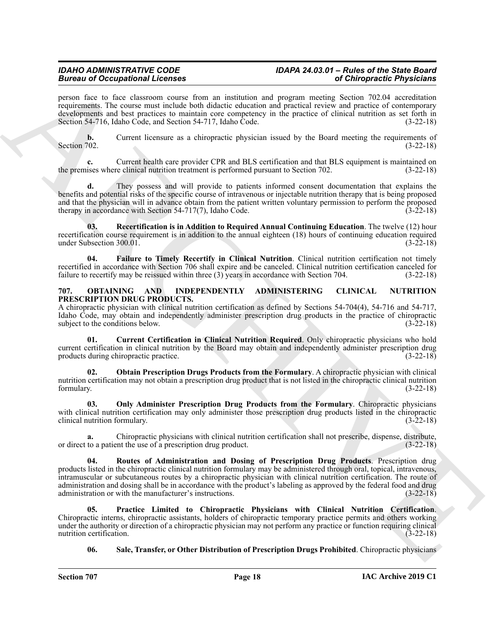### *IDAHO ADMINISTRATIVE CODE IDAPA 24.03.01 – Rules of the State Board*

person face to face classroom course from an institution and program meeting Section 702.04 accreditation requirements. The course must include both didactic education and practical review and practice of contemporary developments and best practices to maintain core competency in the practice of clinical nutrition as set forth in Section 54-716, Idaho Code, and Section 54-717, Idaho Code. (3-22-18)

**b.** Current licensure as a chiropractic physician issued by the Board meeting the requirements of Section 702. (3-22-18) Section 702. (3-22-18)

**c.** Current health care provider CPR and BLS certification and that BLS equipment is maintained on the premises where clinical nutrition treatment is performed pursuant to Section 702. (3-22-18)

**d.** They possess and will provide to patients informed consent documentation that explains the benefits and potential risks of the specific course of intravenous or injectable nutrition therapy that is being proposed and that the physician will in advance obtain from the patient written voluntary permission to perform the proposed therapy in accordance with Section 54-717(7), Idaho Code. (3-22-18)

<span id="page-17-2"></span>**03. Recertification is in Addition to Required Annual Continuing Education**. The twelve (12) hour recertification course requirement is in addition to the annual eighteen (18) hours of continuing education required under Subsection 300.01. (3-22-18)

<span id="page-17-1"></span>**04. Failure to Timely Recertify in Clinical Nutrition**. Clinical nutrition certification not timely recertified in accordance with Section 706 shall expire and be canceled. Clinical nutrition certification canceled for failure to recertify may be reissued within three (3) years in accordance with Section 704. (3-22-18) failure to recertify may be reissued within three  $(3)$  years in accordance with Section 704.

#### <span id="page-17-3"></span><span id="page-17-0"></span>**707. OBTAINING AND INDEPENDENTLY ADMINISTERING CLINICAL NUTRITION PRESCRIPTION DRUG PRODUCTS.**

A chiropractic physician with clinical nutrition certification as defined by Sections 54-704(4), 54-716 and 54-717, Idaho Code, may obtain and independently administer prescription drug products in the practice of chiropractic subject to the conditions below. (3-22-18) subject to the conditions below.

<span id="page-17-4"></span>**01. Current Certification in Clinical Nutrition Required**. Only chiropractic physicians who hold current certification in clinical nutrition by the Board may obtain and independently administer prescription drug products during chiropractic practice. (3-22-18)

<span id="page-17-5"></span>**02. Obtain Prescription Drugs Products from the Formulary**. A chiropractic physician with clinical nutrition certification may not obtain a prescription drug product that is not listed in the chiropractic clinical nutrition formulary. (3-22-18) formulary. (3-22-18)

<span id="page-17-6"></span>**03. Only Administer Prescription Drug Products from the Formulary**. Chiropractic physicians with clinical nutrition certification may only administer those prescription drug products listed in the chiropractic clinical nutrition formulary. (3-22-18)

<span id="page-17-8"></span>**a.** Chiropractic physicians with clinical nutrition certification shall not prescribe, dispense, distribute, to a patient the use of a prescription drug product.  $(3-22-18)$ or direct to a patient the use of a prescription drug product.

Branch are the characteristic control in the state of the state of the characteristic properties of the state of the state of the state of the state of the state of the state of the state of the state of the state of the **04. Routes of Administration and Dosing of Prescription Drug Products**. Prescription drug products listed in the chiropractic clinical nutrition formulary may be administered through oral, topical, intravenous, intramuscular or subcutaneous routes by a chiropractic physician with clinical nutrition certification. The route of administration and dosing shall be in accordance with the product's labeling as approved by the federal food and drug administration or with the manufacturer's instructions. (3-22-18) administration or with the manufacturer's instructions.

**05. Practice Limited to Chiropractic Physicians with Clinical Nutrition Certification**. Chiropractic interns, chiropractic assistants, holders of chiropractic temporary practice permits and others working under the authority or direction of a chiropractic physician may not perform any practice or function requiring clinical nutrition certification. (3-22-18) nutrition certification.

<span id="page-17-9"></span><span id="page-17-7"></span>**06. Sale, Transfer, or Other Distribution of Prescription Drugs Prohibited**. Chiropractic physicians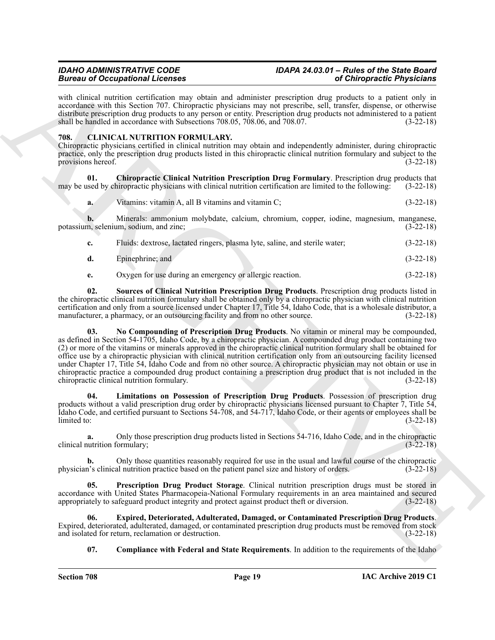### *IDAHO ADMINISTRATIVE CODE IDAPA 24.03.01 – Rules of the State Board*

with clinical nutrition certification may obtain and administer prescription drug products to a patient only in accordance with this Section 707. Chiropractic physicians may not prescribe, sell, transfer, dispense, or otherwise distribute prescription drug products to any person or entity. Prescription drug products not administered to a patient shall be handled in accordance with Subsections  $708.05$ ,  $708.06$ , and  $708.07$ . (3-22-18)

#### <span id="page-18-1"></span><span id="page-18-0"></span>**708. CLINICAL NUTRITION FORMULARY.**

Chiropractic physicians certified in clinical nutrition may obtain and independently administer, during chiropractic practice, only the prescription drug products listed in this chiropractic clinical nutrition formulary and subject to the provisions hereof. (3-22-18)

**01. Chiropractic Clinical Nutrition Prescription Drug Formulary**. Prescription drug products that may be used by chiropractic physicians with clinical nutrition certification are limited to the following: (3-22-18)

<span id="page-18-2"></span>**a.** Vitamins: vitamin A, all B vitamins and vitamin C; (3-22-18)

**b.** Minerals: ammonium molybdate, calcium, chromium, copper, iodine, magnesium, manganese, m, selenium, sodium, and zinc; (3-22-18) potassium, selenium, sodium, and zinc;

| Fluids: dextrose, lactated ringers, plasma lyte, saline, and sterile water; | $(3-22-18)$ |
|-----------------------------------------------------------------------------|-------------|
| Epinephrine; and                                                            | $(3-22-18)$ |

<span id="page-18-8"></span><span id="page-18-6"></span>**e.** Oxygen for use during an emergency or allergic reaction. (3-22-18)

**02. Sources of Clinical Nutrition Prescription Drug Products**. Prescription drug products listed in the chiropractic clinical nutrition formulary shall be obtained only by a chiropractic physician with clinical nutrition certification and only from a source licensed under Chapter 17, Title 54, Idaho Code, that is a wholesale distributor, a manufacturer, a pharmacy, or an outsourcing facility and from no other source. (3-22-18)

Branch of Occupation I. Learning the strengthenial temperature and O Direction Christmas and Christmas and the strengthenial temperature and the strengthenial temperature and the strengthenial temperature and the strength **03. No Compounding of Prescription Drug Products**. No vitamin or mineral may be compounded, as defined in Section 54-1705, Idaho Code, by a chiropractic physician. A compounded drug product containing two (2) or more of the vitamins or minerals approved in the chiropractic clinical nutrition formulary shall be obtained for office use by a chiropractic physician with clinical nutrition certification only from an outsourcing facility licensed under Chapter 17, Title 54, Idaho Code and from no other source. A chiropractic physician may not obtain or use in chiropractic practice a compounded drug product containing a prescription drug product that is not included in the chiropractic clinical nutrition formulary. (3-22-18)

<span id="page-18-5"></span>**04. Limitations on Possession of Prescription Drug Products**. Possession of prescription drug products without a valid prescription drug order by chiropractic physicians licensed pursuant to Chapter 7, Title 54, Idaho Code, and certified pursuant to Sections 54-708, and 54-717, Idaho Code, or their agents or employees shall be limited to: (3-22-18)

**a.** Only those prescription drug products listed in Sections 54-716, Idaho Code, and in the chiropractic clinical nutrition formulary; (3-22-18)

**b.** Only those quantities reasonably required for use in the usual and lawful course of the chiropractic physician's clinical nutrition practice based on the patient panel size and history of orders. (3-22-18)

<span id="page-18-7"></span>**05. Prescription Drug Product Storage**. Clinical nutrition prescription drugs must be stored in accordance with United States Pharmacopeia-National Formulary requirements in an area maintained and secured appropriately to safeguard product integrity and protect against product theft or diversion. (3-22-18)

**06. Expired, Deteriorated, Adulterated, Damaged, or Contaminated Prescription Drug Products**. Expired, deteriorated, adulterated, damaged, or contaminated prescription drug products must be removed from stock and isolated for return, reclamation or destruction.

<span id="page-18-4"></span><span id="page-18-3"></span>**07.** Compliance with Federal and State Requirements. In addition to the requirements of the Idaho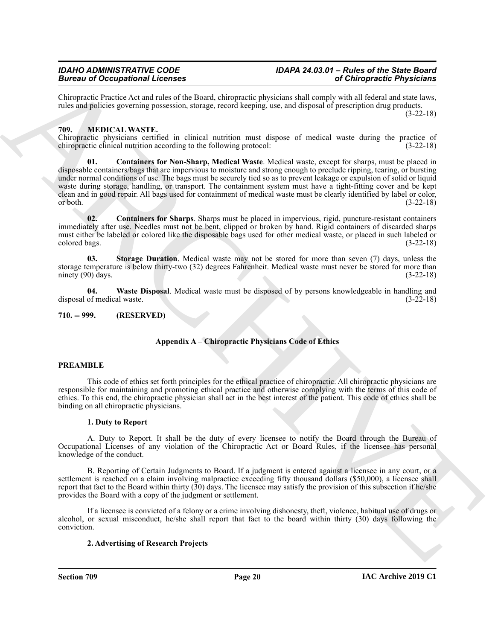Chiropractic Practice Act and rules of the Board, chiropractic physicians shall comply with all federal and state laws, rules and policies governing possession, storage, record keeping, use, and disposal of prescription drug products. (3-22-18)

#### <span id="page-19-2"></span><span id="page-19-0"></span>**709. MEDICAL WASTE.**

<span id="page-19-3"></span>Chiropractic physicians certified in clinical nutrition must dispose of medical waste during the practice of chiropractic clinical nutrition according to the following protocol: (3-22-18) chiropractic clinical nutrition according to the following protocol:

**Example 20** Cocapabilitation and the short state and the state of Obligation Collisions and the state of Collisions and the state of the state of the state of the state of the state of the state of the state of the state **01. Containers for Non-Sharp, Medical Waste**. Medical waste, except for sharps, must be placed in disposable containers/bags that are impervious to moisture and strong enough to preclude ripping, tearing, or bursting under normal conditions of use. The bags must be securely tied so as to prevent leakage or expulsion of solid or liquid waste during storage, handling, or transport. The containment system must have a tight-fitting cover and be kept clean and in good repair. All bags used for containment of medical waste must be clearly identified by label or color,  $(3-22-18)$ 

<span id="page-19-4"></span>**02. Containers for Sharps**. Sharps must be placed in impervious, rigid, puncture-resistant containers immediately after use. Needles must not be bent, clipped or broken by hand. Rigid containers of discarded sharps must either be labeled or colored like the disposable bags used for other medical waste, or placed in such labeled or colored bags. (3-22-18)

<span id="page-19-5"></span>**03. Storage Duration**. Medical waste may not be stored for more than seven (7) days, unless the storage temperature is below thirty-two (32) degrees Fahrenheit. Medical waste must never be stored for more than ninety (90) days. (3-22-18) ninety  $(90)$  days.

<span id="page-19-6"></span>**04. Waste Disposal**. Medical waste must be disposed of by persons knowledgeable in handling and disposal of medical waste.

```
710. -- 999. (RESERVED)
```
#### **Appendix A – Chiropractic Physicians Code of Ethics**

#### **PREAMBLE**

This code of ethics set forth principles for the ethical practice of chiropractic. All chiropractic physicians are responsible for maintaining and promoting ethical practice and otherwise complying with the terms of this code of ethics. To this end, the chiropractic physician shall act in the best interest of the patient. This code of ethics shall be binding on all chiropractic physicians.

#### **1. Duty to Report**

A. Duty to Report. It shall be the duty of every licensee to notify the Board through the Bureau of Occupational Licenses of any violation of the Chiropractic Act or Board Rules, if the licensee has personal knowledge of the conduct.

B. Reporting of Certain Judgments to Board. If a judgment is entered against a licensee in any court, or a settlement is reached on a claim involving malpractice exceeding fifty thousand dollars (\$50,000), a licensee shall report that fact to the Board within thirty (30) days. The licensee may satisfy the provision of this subsection if he/she provides the Board with a copy of the judgment or settlement.

If a licensee is convicted of a felony or a crime involving dishonesty, theft, violence, habitual use of drugs or alcohol, or sexual misconduct, he/she shall report that fact to the board within thirty (30) days following the conviction.

#### **2. Advertising of Research Projects**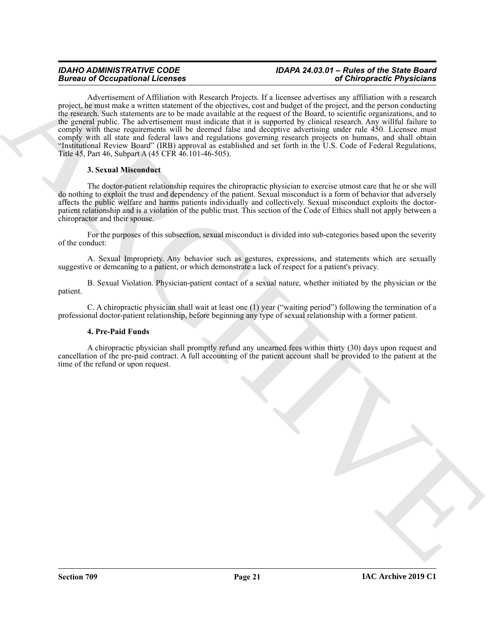### *Bureau of Occupational Licenses*

## *IDAHO ADMINISTRATIVE CODE IDAPA 24.03.01 – Rules of the State Board*

**Bureau of Occupation 1. Every thermal learned linear the strategies of Occupation and Containing and the strategies of the strategies of the strategies of the strategies of the strategies of the strategies of the strateg** Advertisement of Affiliation with Research Projects. If a licensee advertises any affiliation with a research project, he must make a written statement of the objectives, cost and budget of the project, and the person conducting the research. Such statements are to be made available at the request of the Board, to scientific organizations, and to the general public. The advertisement must indicate that it is supported by clinical research. Any willful failure to comply with these requirements will be deemed false and deceptive advertising under rule 450. Licensee must comply with all state and federal laws and regulations governing research projects on humans, and shall obtain "Institutional Review Board" (IRB) approval as established and set forth in the U.S. Code of Federal Regulations, Title 45, Part 46, Subpart A (45 CFR 46.101-46-505).

#### **3. Sexual Misconduct**

The doctor-patient relationship requires the chiropractic physician to exercise utmost care that he or she will do nothing to exploit the trust and dependency of the patient. Sexual misconduct is a form of behavior that adversely affects the public welfare and harms patients individually and collectively. Sexual misconduct exploits the doctorpatient relationship and is a violation of the public trust. This section of the Code of Ethics shall not apply between a chiropractor and their spouse.

For the purposes of this subsection, sexual misconduct is divided into sub-categories based upon the severity of the conduct:

A. Sexual Impropriety. Any behavior such as gestures, expressions, and statements which are sexually suggestive or demeaning to a patient, or which demonstrate a lack of respect for a patient's privacy.

B. Sexual Violation. Physician-patient contact of a sexual nature, whether initiated by the physician or the patient.

C. A chiropractic physician shall wait at least one (1) year ("waiting period") following the termination of a professional doctor-patient relationship, before beginning any type of sexual relationship with a former patient.

#### **4. Pre-Paid Funds**

A chiropractic physician shall promptly refund any unearned fees within thirty (30) days upon request and cancellation of the pre-paid contract. A full accounting of the patient account shall be provided to the patient at the time of the refund or upon request.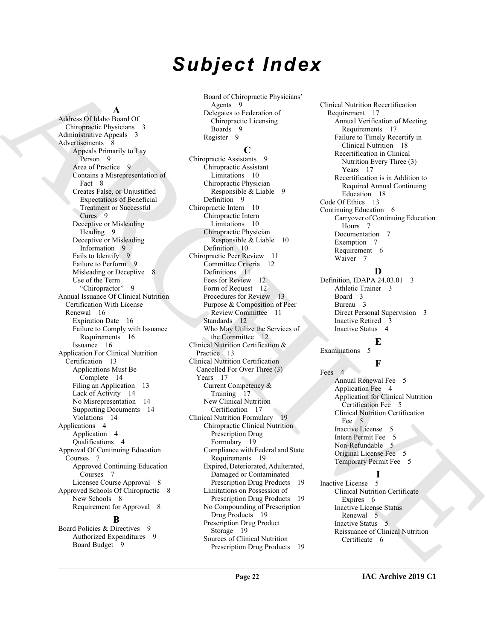# *Subject Index*

#### **A**

[AR](#page-8-6)[C](#page-9-4)[HI](#page-16-3)[V](#page-4-8)[E](#page-5-4) Address Of Idaho Board Of Chiropractic Physicians 3 Administrative Appeals 3 Advertisements 8 Appeals Primarily to Lay Person 9 Area of Practice 9 Contains a Misrepresentation of Fact 8 Creates False, or Unjustified Expectations of Beneficial Treatment or Successful Cures 9 Deceptive or Misleading Heading 9 Deceptive or Misleading Information 9 Fails to Identify 9 Failure to Perform 9 Misleading or Deceptive 8 Use of the Term "Chiropractor" 9 Annual Issuance Of Clinical Nutrition Certification With License Renewal 16 Expiration Date 16 Failure to Comply with Issuance Requirements 16 Issuance 16 Application For Clinical Nutrition Certification 13 Applications Must Be Complete 14 Filing an Application 13 Lack of Activity 14 No Misrepresentation 14 Supporting Documents 14 Violations 14 Applications 4 Application 4 Qualifications 4 Approval Of Continuing Education Courses 7 Approved Continuing Education Courses 7 Licensee Course Approval 8 Approved Schools Of Chiropractic 8 New Schools 8 Requirement for Approval 8

#### **B**

Board Policies & Directives 9 Authorized Expenditures 9 Board Budget 9

Board of Chiropractic Physicians' Agents 9 Delegates to Federation of Chiropractic Licensing Boards 9 Register 9 **C**

Chiropractic Assistants 9 Chiropractic Assistant Limitations 10 Chiropractic Physician Responsible & Liable 9 Definition 9 Chiropractic Intern 10 Chiropractic Intern Limitations 10 Chiropractic Physician Responsible & Liable 10 Definition 10 Chiropractic Peer Review 11 Committee Criteria 12 Definitions 11 Fees for Review 12 Form of Request 12 Procedures for Review 13 Purpose & Composition of Peer Review Committee 11 Standards 12 Who May Utilize the Services of the Committee 12 Clinical Nutrition Certification & Practice 13 Clinical Nutrition Certification Cancelled For Over Three (3) Years 17 Current Competency & Training 17 New Clinical Nutrition Certification 17 Clinical Nutrition Formulary 19 Chiropractic Clinical Nutrition Prescription Drug Formulary 19 Compliance with Federal and State Requirements 19 Expired, Deteriorated, Adulterated, Damaged or Contaminated Prescription Drug Products 19 Limitations on Possession of Prescription Drug Products 19 No Compounding of Prescription Drug Products 19 Prescription Drug Product Storage 19 Sources of Clinical Nutrition Prescription Drug Products 19 Clinical Nutrition Recertification Requirement 17 Annual Verification of Meeting Requirements 17 Failure to Timely Recertify in Clinical Nutrition 18 Recertification in Clinical Nutrition Every Three (3) Years 17 Recertification is in Addition to Required Annual Continuing Education 18 Code Of Ethics 13 Continuing Education 6 Carryover of Continuing Education Hours 7 Documentation 7 Exemption 7 Requirement 6 Waiver 7

#### **D**

Definition, IDAPA 24.03.01 3 Athletic Trainer 3 Board 3 Bureau 3 Direct Personal Supervision 3 Inactive Retired 3 Inactive Status 4

#### **E**

Examinations 5

### **F**

Fees<sub>4</sub> Annual Renewal Fee 5 Application Fee 4 Application for Clinical Nutrition Certification Fee 5 Clinical Nutrition Certification Fee 5 Inactive License 5 Intern Permit Fee 5 Non-Refundable 5 Original License Fee 5 Temporary Permit Fee 5

#### **I**

Inactive License 5 Clinical Nutrition Certificate Expires 6 Inactive License Status Renewal 5 Inactive Status 5 Reissuance of Clinical Nutrition Certificate 6